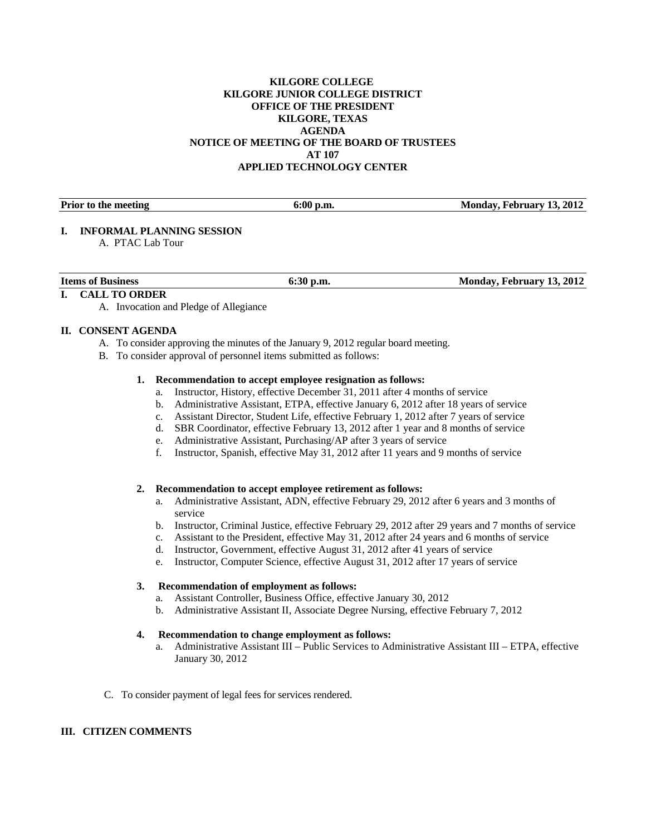### **KILGORE COLLEGE KILGORE JUNIOR COLLEGE DISTRICT OFFICE OF THE PRESIDENT KILGORE, TEXAS AGENDA NOTICE OF MEETING OF THE BOARD OF TRUSTEES AT 107 APPLIED TECHNOLOGY CENTER**

| <b>Prior to the meeting</b> | Monday, February 13, 2012<br>v.m. |  |
|-----------------------------|-----------------------------------|--|
|                             |                                   |  |

### **I. INFORMAL PLANNING SESSION**

A. PTAC Lab Tour

| Items of<br><b>Business</b>                     | p.m<br>-91. | 13.2012<br>Februarv<br>Mondav |
|-------------------------------------------------|-------------|-------------------------------|
| the contract of the contract of the contract of |             |                               |

### **I. CALL TO ORDER**

A. Invocation and Pledge of Allegiance

### **II. CONSENT AGENDA**

- A. To consider approving the minutes of the January 9, 2012 regular board meeting.
- B. To consider approval of personnel items submitted as follows:

### **1. Recommendation to accept employee resignation as follows:**

- a. Instructor, History, effective December 31, 2011 after 4 months of service
- b. Administrative Assistant, ETPA, effective January 6, 2012 after 18 years of service
- c. Assistant Director, Student Life, effective February 1, 2012 after 7 years of service
- d. SBR Coordinator, effective February 13, 2012 after 1 year and 8 months of service
- e. Administrative Assistant, Purchasing/AP after 3 years of service
- f. Instructor, Spanish, effective May 31, 2012 after 11 years and 9 months of service

#### **2. Recommendation to accept employee retirement as follows:**

- a. Administrative Assistant, ADN, effective February 29, 2012 after 6 years and 3 months of service
- b. Instructor, Criminal Justice, effective February 29, 2012 after 29 years and 7 months of service
- c. Assistant to the President, effective May 31, 2012 after 24 years and 6 months of service
- d. Instructor, Government, effective August 31, 2012 after 41 years of service
- e. Instructor, Computer Science, effective August 31, 2012 after 17 years of service

### **3. Recommendation of employment as follows:**

- a. Assistant Controller, Business Office, effective January 30, 2012
- b. Administrative Assistant II, Associate Degree Nursing, effective February 7, 2012

## **4. Recommendation to change employment as follows:**

- a. Administrative Assistant III Public Services to Administrative Assistant III ETPA, effective January 30, 2012
- C. To consider payment of legal fees for services rendered.

# **III. CITIZEN COMMENTS**